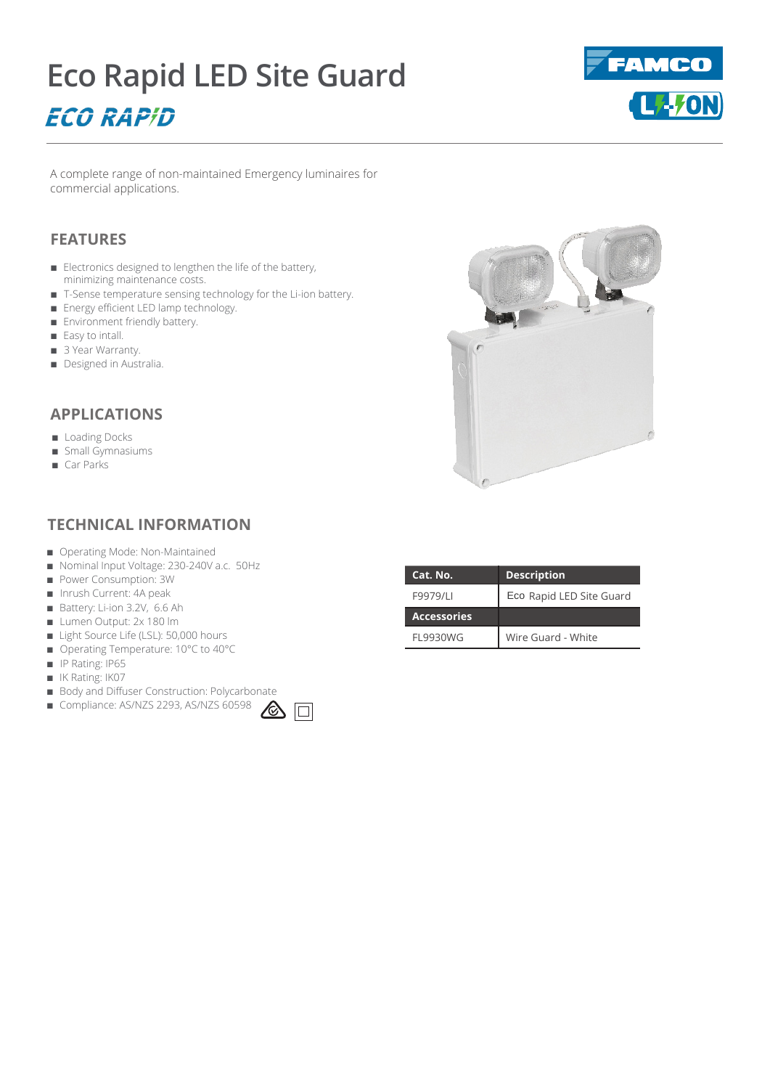# **Eco Rapid LED Site Guard ECO RAPID**



A complete range of non-maintained Emergency luminaires for commercial applications.

## **FEATURES**

- Electronics designed to lengthen the life of the battery, minimizing maintenance costs.
- T-Sense temperature sensing technology for the Li-ion battery.
- Energy efficient LED lamp technology.
- Environment friendly battery.
- Easy to intall.
- 3 Year Warranty.
- Designed in Australia.

**APPLICATIONS**

- Loading Docks
- Small Gymnasiums
- Car Parks

### **TECHNICAL INFORMATION**

- Operating Mode: Non-Maintained
- Nominal Input Voltage: 230-240V a.c. 50Hz
- Power Consumption: 3W
- Inrush Current: 4A peak
- Battery: Li-ion 3.2V, 6.6 Ah
- Lumen Output: 2x 180 lm
- Light Source Life (LSL): 50,000 hours
- Operating Temperature: 10°C to 40°C
- IP Rating: IP65
- IK Rating: IK07
- Body and Diffuser Construction: Polycarbonate
- Compliance: AS/NZS 2293, AS/NZS 60598





| Cat. No.           | <b>Description</b>       |
|--------------------|--------------------------|
| F9979/LI           | Eco Rapid LED Site Guard |
| <b>Accessories</b> |                          |
| <b>FL9930WG</b>    | Wire Guard - White       |